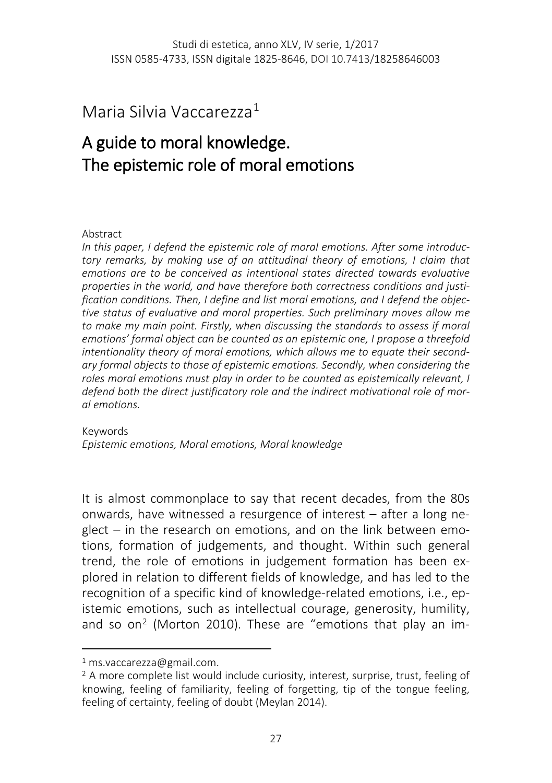Maria Silvia Vaccarezza[1](#page-0-0)

# A guide to moral knowledge. The epistemic role of moral emotions

#### Abstract

*In this paper, I defend the epistemic role of moral emotions. After some introductory remarks, by making use of an attitudinal theory of emotions, I claim that emotions are to be conceived as intentional states directed towards evaluative properties in the world, and have therefore both correctness conditions and justification conditions. Then, I define and list moral emotions, and I defend the objective status of evaluative and moral properties. Such preliminary moves allow me to make my main point. Firstly, when discussing the standards to assess if moral emotions' formal object can be counted as an epistemic one, I propose a threefold intentionality theory of moral emotions, which allows me to equate their secondary formal objects to those of epistemic emotions. Secondly, when considering the roles moral emotions must play in order to be counted as epistemically relevant, I defend both the direct justificatory role and the indirect motivational role of moral emotions.* 

Keywords *Epistemic emotions, Moral emotions, Moral knowledge*

It is almost commonplace to say that recent decades, from the 80s onwards, have witnessed a resurgence of interest – after a long neglect – in the research on emotions, and on the link between emotions, formation of judgements, and thought. Within such general trend, the role of emotions in judgement formation has been explored in relation to different fields of knowledge, and has led to the recognition of a specific kind of knowledge-related emotions, i.e., epistemic emotions, such as intellectual courage, generosity, humility, and so on<sup>[2](#page-0-1)</sup> (Morton 2010). These are "emotions that play an im-

l

<span id="page-0-0"></span><sup>1</sup> ms.vaccarezza@gmail.com.

<span id="page-0-1"></span><sup>&</sup>lt;sup>2</sup> A more complete list would include curiosity, interest, surprise, trust, feeling of knowing, feeling of familiarity, feeling of forgetting, tip of the tongue feeling, feeling of certainty, feeling of doubt (Meylan 2014).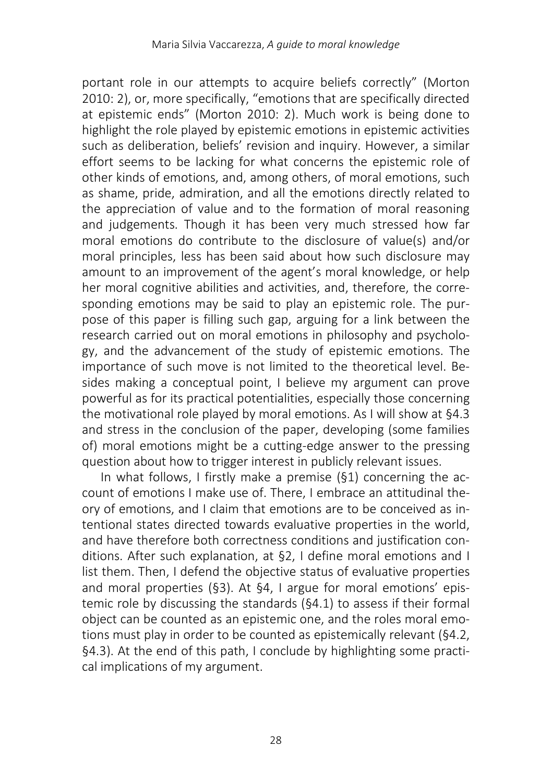portant role in our attempts to acquire beliefs correctly" (Morton 2010: 2), or, more specifically, "emotions that are specifically directed at epistemic ends" (Morton 2010: 2). Much work is being done to highlight the role played by epistemic emotions in epistemic activities such as deliberation, beliefs' revision and inquiry. However, a similar effort seems to be lacking for what concerns the epistemic role of other kinds of emotions, and, among others, of moral emotions, such as shame, pride, admiration, and all the emotions directly related to the appreciation of value and to the formation of moral reasoning and judgements. Though it has been very much stressed how far moral emotions do contribute to the disclosure of value(s) and/or moral principles, less has been said about how such disclosure may amount to an improvement of the agent's moral knowledge, or help her moral cognitive abilities and activities, and, therefore, the corresponding emotions may be said to play an epistemic role. The purpose of this paper is filling such gap, arguing for a link between the research carried out on moral emotions in philosophy and psychology, and the advancement of the study of epistemic emotions. The importance of such move is not limited to the theoretical level. Besides making a conceptual point, I believe my argument can prove powerful as for its practical potentialities, especially those concerning the motivational role played by moral emotions. As I will show at §4.3 and stress in the conclusion of the paper, developing (some families of) moral emotions might be a cutting-edge answer to the pressing question about how to trigger interest in publicly relevant issues.

In what follows, I firstly make a premise (§1) concerning the account of emotions I make use of. There, I embrace an attitudinal theory of emotions, and I claim that emotions are to be conceived as intentional states directed towards evaluative properties in the world, and have therefore both correctness conditions and justification conditions. After such explanation, at §2, I define moral emotions and I list them. Then, I defend the objective status of evaluative properties and moral properties (§3). At §4, I argue for moral emotions' epistemic role by discussing the standards (§4.1) to assess if their formal object can be counted as an epistemic one, and the roles moral emotions must play in order to be counted as epistemically relevant (§4.2, §4.3). At the end of this path, I conclude by highlighting some practical implications of my argument.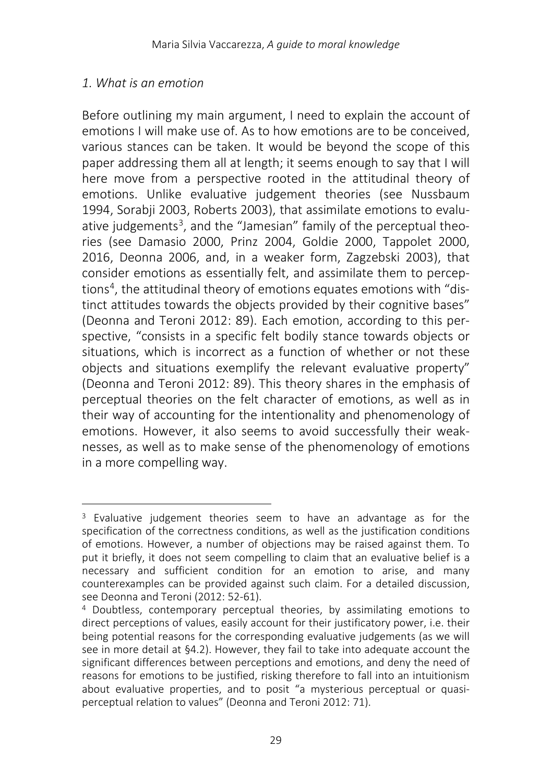### *1. What is an emotion*

Before outlining my main argument, I need to explain the account of emotions I will make use of. As to how emotions are to be conceived, various stances can be taken. It would be beyond the scope of this paper addressing them all at length; it seems enough to say that I will here move from a perspective rooted in the attitudinal theory of emotions. Unlike evaluative judgement theories (see Nussbaum 1994, Sorabji 2003, Roberts 2003), that assimilate emotions to evalu-ative judgements<sup>[3](#page-2-0)</sup>, and the "Jamesian" family of the perceptual theories (see Damasio 2000, Prinz 2004, Goldie 2000, Tappolet 2000, 2016, Deonna 2006, and, in a weaker form, Zagzebski 2003), that consider emotions as essentially felt, and assimilate them to percep-tions<sup>[4](#page-2-1)</sup>, the attitudinal theory of emotions equates emotions with "distinct attitudes towards the objects provided by their cognitive bases" (Deonna and Teroni 2012: 89). Each emotion, according to this perspective, "consists in a specific felt bodily stance towards objects or situations, which is incorrect as a function of whether or not these objects and situations exemplify the relevant evaluative property" (Deonna and Teroni 2012: 89). This theory shares in the emphasis of perceptual theories on the felt character of emotions, as well as in their way of accounting for the intentionality and phenomenology of emotions. However, it also seems to avoid successfully their weaknesses, as well as to make sense of the phenomenology of emotions in a more compelling way.

<span id="page-2-0"></span> $\overline{\phantom{a}}$ <sup>3</sup> Evaluative judgement theories seem to have an advantage as for the specification of the correctness conditions, as well as the justification conditions of emotions. However, a number of objections may be raised against them. To put it briefly, it does not seem compelling to claim that an evaluative belief is a necessary and sufficient condition for an emotion to arise, and many counterexamples can be provided against such claim. For a detailed discussion, see Deonna and Teroni (2012: 52-61).

<span id="page-2-1"></span><sup>4</sup> Doubtless, contemporary perceptual theories, by assimilating emotions to direct perceptions of values, easily account for their justificatory power, i.e. their being potential reasons for the corresponding evaluative judgements (as we will see in more detail at §4.2). However, they fail to take into adequate account the significant differences between perceptions and emotions, and deny the need of reasons for emotions to be justified, risking therefore to fall into an intuitionism about evaluative properties, and to posit "a mysterious perceptual or quasiperceptual relation to values" (Deonna and Teroni 2012: 71).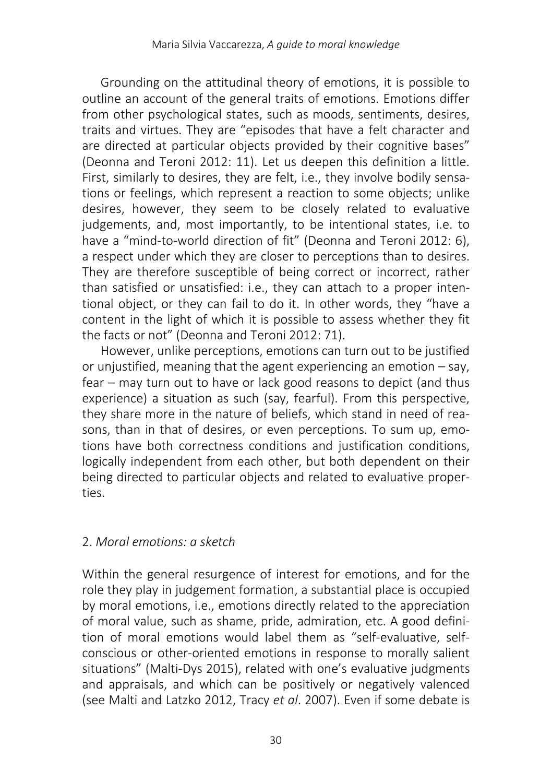Grounding on the attitudinal theory of emotions, it is possible to outline an account of the general traits of emotions. Emotions differ from other psychological states, such as moods, sentiments, desires, traits and virtues. They are "episodes that have a felt character and are directed at particular objects provided by their cognitive bases" (Deonna and Teroni 2012: 11). Let us deepen this definition a little. First, similarly to desires, they are felt, i.e., they involve bodily sensations or feelings, which represent a reaction to some objects; unlike desires, however, they seem to be closely related to evaluative judgements, and, most importantly, to be intentional states, i.e. to have a "mind-to-world direction of fit" (Deonna and Teroni 2012: 6), a respect under which they are closer to perceptions than to desires. They are therefore susceptible of being correct or incorrect, rather than satisfied or unsatisfied: i.e., they can attach to a proper intentional object, or they can fail to do it. In other words, they "have a content in the light of which it is possible to assess whether they fit the facts or not" (Deonna and Teroni 2012: 71).

However, unlike perceptions, emotions can turn out to be justified or unjustified, meaning that the agent experiencing an emotion – say, fear – may turn out to have or lack good reasons to depict (and thus experience) a situation as such (say, fearful). From this perspective, they share more in the nature of beliefs, which stand in need of reasons, than in that of desires, or even perceptions. To sum up, emotions have both correctness conditions and justification conditions, logically independent from each other, but both dependent on their being directed to particular objects and related to evaluative properties.

# 2. *Moral emotions: a sketch*

Within the general resurgence of interest for emotions, and for the role they play in judgement formation, a substantial place is occupied by moral emotions, i.e., emotions directly related to the appreciation of moral value, such as shame, pride, admiration, etc. A good definition of moral emotions would label them as "self-evaluative, selfconscious or other-oriented emotions in response to morally salient situations" (Malti-Dys 2015), related with one's evaluative judgments and appraisals, and which can be positively or negatively valenced (see Malti and Latzko 2012, Tracy *et al*. 2007). Even if some debate is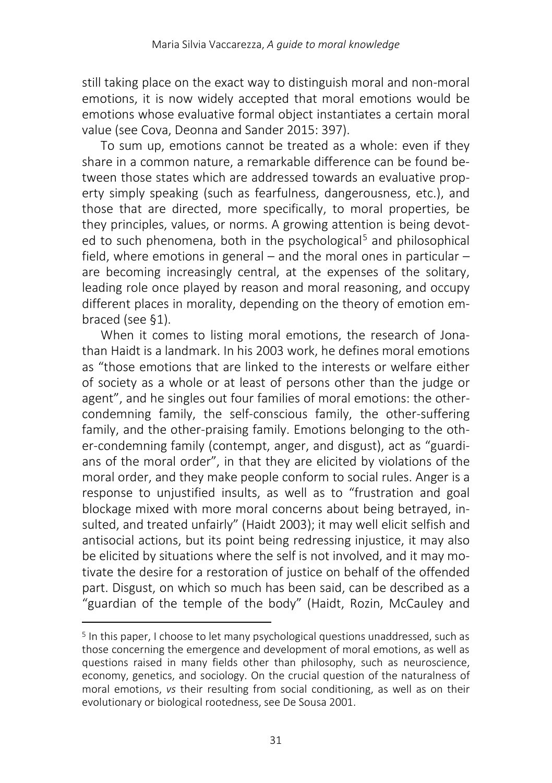still taking place on the exact way to distinguish moral and non-moral emotions, it is now widely accepted that moral emotions would be emotions whose evaluative formal object instantiates a certain moral value (see Cova, Deonna and Sander 2015: 397).

To sum up, emotions cannot be treated as a whole: even if they share in a common nature, a remarkable difference can be found between those states which are addressed towards an evaluative property simply speaking (such as fearfulness, dangerousness, etc.), and those that are directed, more specifically, to moral properties, be they principles, values, or norms. A growing attention is being devot-ed to such phenomena, both in the psychological<sup>[5](#page-4-0)</sup> and philosophical field, where emotions in general – and the moral ones in particular – are becoming increasingly central, at the expenses of the solitary, leading role once played by reason and moral reasoning, and occupy different places in morality, depending on the theory of emotion embraced (see §1).

When it comes to listing moral emotions, the research of Jonathan Haidt is a landmark. In his 2003 work, he defines moral emotions as "those emotions that are linked to the interests or welfare either of society as a whole or at least of persons other than the judge or agent", and he singles out four families of moral emotions: the othercondemning family, the self-conscious family, the other-suffering family, and the other-praising family. Emotions belonging to the other-condemning family (contempt, anger, and disgust), act as "guardians of the moral order", in that they are elicited by violations of the moral order, and they make people conform to social rules. Anger is a response to unjustified insults, as well as to "frustration and goal blockage mixed with more moral concerns about being betrayed, insulted, and treated unfairly" (Haidt 2003); it may well elicit selfish and antisocial actions, but its point being redressing injustice, it may also be elicited by situations where the self is not involved, and it may motivate the desire for a restoration of justice on behalf of the offended part. Disgust, on which so much has been said, can be described as a "guardian of the temple of the body" (Haidt, Rozin, McCauley and

 $\overline{\phantom{a}}$ 

<span id="page-4-0"></span><sup>5</sup> In this paper, I choose to let many psychological questions unaddressed, such as those concerning the emergence and development of moral emotions, as well as questions raised in many fields other than philosophy, such as neuroscience, economy, genetics, and sociology. On the crucial question of the naturalness of moral emotions, *vs* their resulting from social conditioning, as well as on their evolutionary or biological rootedness, see De Sousa 2001.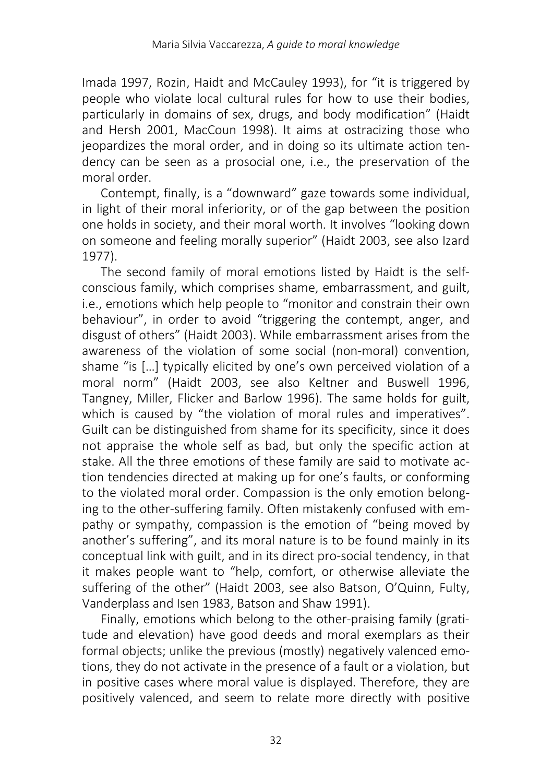Imada 1997, Rozin, Haidt and McCauley 1993), for "it is triggered by people who violate local cultural rules for how to use their bodies, particularly in domains of sex, drugs, and body modification" (Haidt and Hersh 2001, MacCoun 1998). It aims at ostracizing those who jeopardizes the moral order, and in doing so its ultimate action tendency can be seen as a prosocial one, i.e., the preservation of the moral order.

Contempt, finally, is a "downward" gaze towards some individual, in light of their moral inferiority, or of the gap between the position one holds in society, and their moral worth. It involves "looking down on someone and feeling morally superior" (Haidt 2003, see also Izard 1977).

The second family of moral emotions listed by Haidt is the selfconscious family, which comprises shame, embarrassment, and guilt, i.e., emotions which help people to "monitor and constrain their own behaviour", in order to avoid "triggering the contempt, anger, and disgust of others" (Haidt 2003). While embarrassment arises from the awareness of the violation of some social (non-moral) convention, shame "is […] typically elicited by one's own perceived violation of a moral norm" (Haidt 2003, see also Keltner and Buswell 1996, Tangney, Miller, Flicker and Barlow 1996). The same holds for guilt, which is caused by "the violation of moral rules and imperatives". Guilt can be distinguished from shame for its specificity, since it does not appraise the whole self as bad, but only the specific action at stake. All the three emotions of these family are said to motivate action tendencies directed at making up for one's faults, or conforming to the violated moral order. Compassion is the only emotion belonging to the other-suffering family. Often mistakenly confused with empathy or sympathy, compassion is the emotion of "being moved by another's suffering", and its moral nature is to be found mainly in its conceptual link with guilt, and in its direct pro-social tendency, in that it makes people want to "help, comfort, or otherwise alleviate the suffering of the other" (Haidt 2003, see also Batson, O'Quinn, Fulty, Vanderplass and Isen 1983, Batson and Shaw 1991).

Finally, emotions which belong to the other-praising family (gratitude and elevation) have good deeds and moral exemplars as their formal objects; unlike the previous (mostly) negatively valenced emotions, they do not activate in the presence of a fault or a violation, but in positive cases where moral value is displayed. Therefore, they are positively valenced, and seem to relate more directly with positive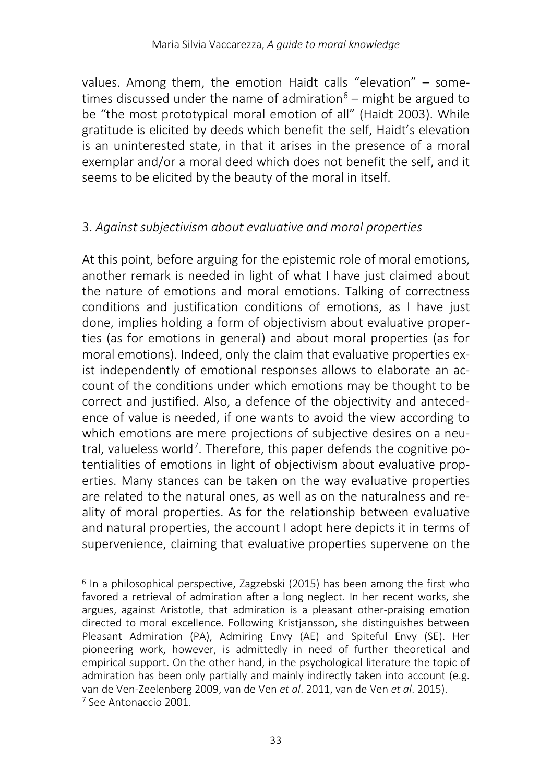values. Among them, the emotion Haidt calls "elevation" – some-times discussed under the name of admiration<sup>[6](#page-6-0)</sup> – might be argued to be "the most prototypical moral emotion of all" (Haidt 2003). While gratitude is elicited by deeds which benefit the self, Haidt's elevation is an uninterested state, in that it arises in the presence of a moral exemplar and/or a moral deed which does not benefit the self, and it seems to be elicited by the beauty of the moral in itself.

# 3. *Against subjectivism about evaluative and moral properties*

At this point, before arguing for the epistemic role of moral emotions, another remark is needed in light of what I have just claimed about the nature of emotions and moral emotions. Talking of correctness conditions and justification conditions of emotions, as I have just done, implies holding a form of objectivism about evaluative properties (as for emotions in general) and about moral properties (as for moral emotions). Indeed, only the claim that evaluative properties exist independently of emotional responses allows to elaborate an account of the conditions under which emotions may be thought to be correct and justified. Also, a defence of the objectivity and antecedence of value is needed, if one wants to avoid the view according to which emotions are mere projections of subjective desires on a neutral, valueless world<sup>7</sup>. Therefore, this paper defends the cognitive potentialities of emotions in light of objectivism about evaluative properties. Many stances can be taken on the way evaluative properties are related to the natural ones, as well as on the naturalness and reality of moral properties. As for the relationship between evaluative and natural properties, the account I adopt here depicts it in terms of supervenience, claiming that evaluative properties supervene on the

l

<span id="page-6-1"></span><span id="page-6-0"></span><sup>6</sup> In a philosophical perspective, Zagzebski (2015) has been among the first who favored a retrieval of admiration after a long neglect. In her recent works, she argues, against Aristotle, that admiration is a pleasant other-praising emotion directed to moral excellence. Following Kristjansson, she distinguishes between Pleasant Admiration (PA), Admiring Envy (AE) and Spiteful Envy (SE). Her pioneering work, however, is admittedly in need of further theoretical and empirical support. On the other hand, in the psychological literature the topic of admiration has been only partially and mainly indirectly taken into account (e.g. van de Ven-Zeelenberg 2009, van de Ven *et al*. 2011, van de Ven *et al*. 2015). <sup>7</sup> See Antonaccio 2001.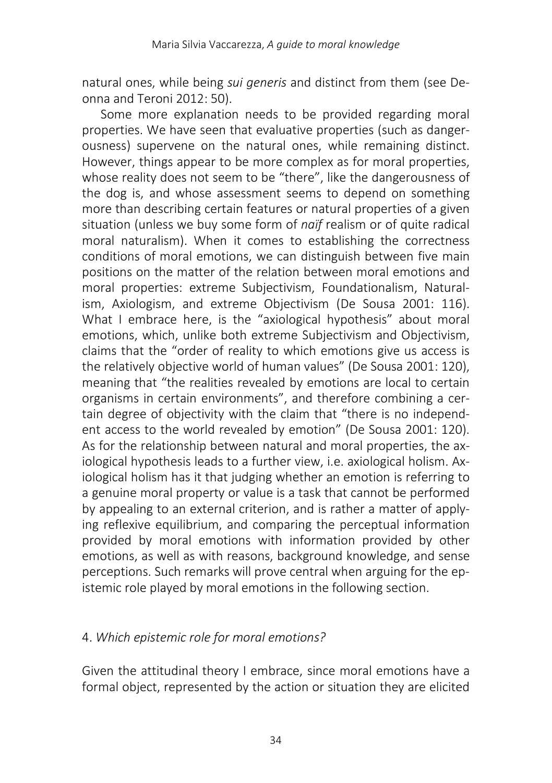natural ones, while being *sui generis* and distinct from them (see Deonna and Teroni 2012: 50).

Some more explanation needs to be provided regarding moral properties. We have seen that evaluative properties (such as dangerousness) supervene on the natural ones, while remaining distinct. However, things appear to be more complex as for moral properties. whose reality does not seem to be "there", like the dangerousness of the dog is, and whose assessment seems to depend on something more than describing certain features or natural properties of a given situation (unless we buy some form of *naïf* realism or of quite radical moral naturalism). When it comes to establishing the correctness conditions of moral emotions, we can distinguish between five main positions on the matter of the relation between moral emotions and moral properties: extreme Subjectivism, Foundationalism, Naturalism, Axiologism, and extreme Objectivism (De Sousa 2001: 116). What I embrace here, is the "axiological hypothesis" about moral emotions, which, unlike both extreme Subjectivism and Objectivism, claims that the "order of reality to which emotions give us access is the relatively objective world of human values" (De Sousa 2001: 120), meaning that "the realities revealed by emotions are local to certain organisms in certain environments", and therefore combining a certain degree of objectivity with the claim that "there is no independent access to the world revealed by emotion" (De Sousa 2001: 120). As for the relationship between natural and moral properties, the axiological hypothesis leads to a further view, i.e. axiological holism. Axiological holism has it that judging whether an emotion is referring to a genuine moral property or value is a task that cannot be performed by appealing to an external criterion, and is rather a matter of applying reflexive equilibrium, and comparing the perceptual information provided by moral emotions with information provided by other emotions, as well as with reasons, background knowledge, and sense perceptions. Such remarks will prove central when arguing for the epistemic role played by moral emotions in the following section.

#### 4. *Which epistemic role for moral emotions?*

Given the attitudinal theory I embrace, since moral emotions have a formal object, represented by the action or situation they are elicited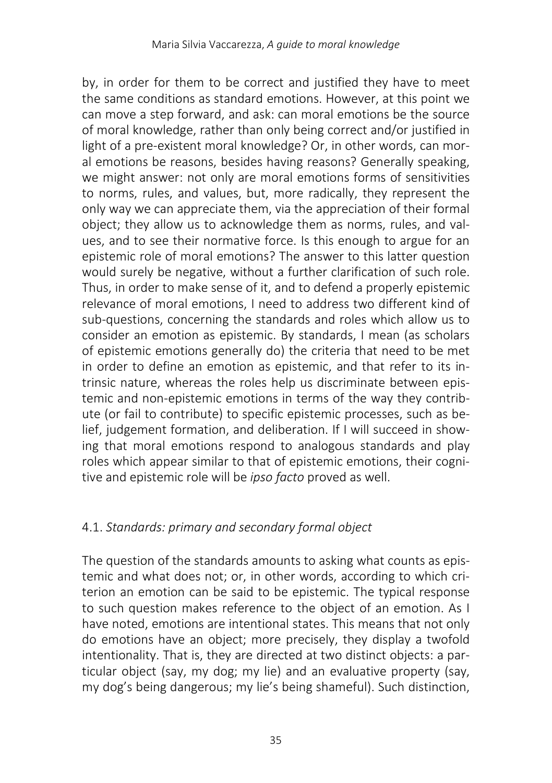by, in order for them to be correct and justified they have to meet the same conditions as standard emotions. However, at this point we can move a step forward, and ask: can moral emotions be the source of moral knowledge, rather than only being correct and/or justified in light of a pre-existent moral knowledge? Or, in other words, can moral emotions be reasons, besides having reasons? Generally speaking, we might answer: not only are moral emotions forms of sensitivities to norms, rules, and values, but, more radically, they represent the only way we can appreciate them, via the appreciation of their formal object; they allow us to acknowledge them as norms, rules, and values, and to see their normative force. Is this enough to argue for an epistemic role of moral emotions? The answer to this latter question would surely be negative, without a further clarification of such role. Thus, in order to make sense of it, and to defend a properly epistemic relevance of moral emotions, I need to address two different kind of sub-questions, concerning the standards and roles which allow us to consider an emotion as epistemic. By standards, I mean (as scholars of epistemic emotions generally do) the criteria that need to be met in order to define an emotion as epistemic, and that refer to its intrinsic nature, whereas the roles help us discriminate between epistemic and non-epistemic emotions in terms of the way they contribute (or fail to contribute) to specific epistemic processes, such as belief, judgement formation, and deliberation. If I will succeed in showing that moral emotions respond to analogous standards and play roles which appear similar to that of epistemic emotions, their cognitive and epistemic role will be *ipso facto* proved as well.

# 4.1. *Standards: primary and secondary formal object*

The question of the standards amounts to asking what counts as epistemic and what does not; or, in other words, according to which criterion an emotion can be said to be epistemic. The typical response to such question makes reference to the object of an emotion. As I have noted, emotions are intentional states. This means that not only do emotions have an object; more precisely, they display a twofold intentionality. That is, they are directed at two distinct objects: a particular object (say, my dog; my lie) and an evaluative property (say, my dog's being dangerous; my lie's being shameful). Such distinction,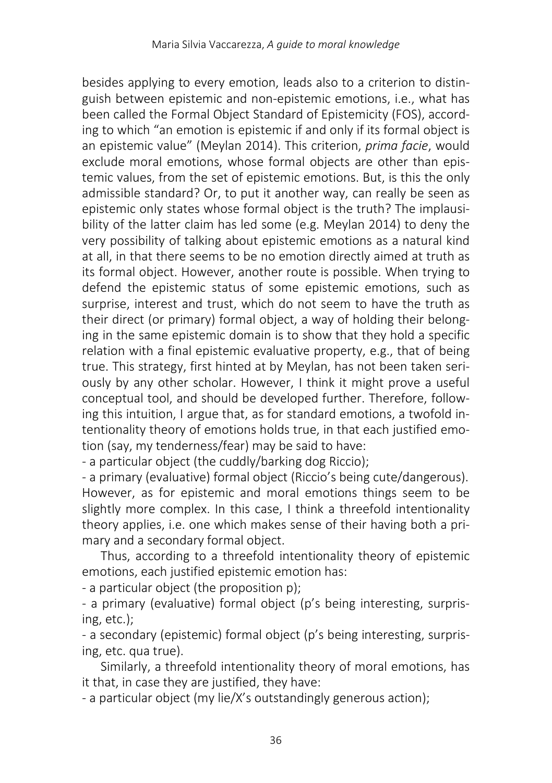besides applying to every emotion, leads also to a criterion to distinguish between epistemic and non-epistemic emotions, i.e., what has been called the Formal Object Standard of Epistemicity (FOS), according to which "an emotion is epistemic if and only if its formal object is an epistemic value" (Meylan 2014). This criterion, *prima facie*, would exclude moral emotions, whose formal objects are other than epistemic values, from the set of epistemic emotions. But, is this the only admissible standard? Or, to put it another way, can really be seen as epistemic only states whose formal object is the truth? The implausibility of the latter claim has led some (e.g. Meylan 2014) to deny the very possibility of talking about epistemic emotions as a natural kind at all, in that there seems to be no emotion directly aimed at truth as its formal object. However, another route is possible. When trying to defend the epistemic status of some epistemic emotions, such as surprise, interest and trust, which do not seem to have the truth as their direct (or primary) formal object, a way of holding their belonging in the same epistemic domain is to show that they hold a specific relation with a final epistemic evaluative property, e.g., that of being true. This strategy, first hinted at by Meylan, has not been taken seriously by any other scholar. However, I think it might prove a useful conceptual tool, and should be developed further. Therefore, following this intuition, I argue that, as for standard emotions, a twofold intentionality theory of emotions holds true, in that each justified emotion (say, my tenderness/fear) may be said to have:

- a particular object (the cuddly/barking dog Riccio);

- a primary (evaluative) formal object (Riccio's being cute/dangerous). However, as for epistemic and moral emotions things seem to be slightly more complex. In this case, I think a threefold intentionality theory applies, i.e. one which makes sense of their having both a primary and a secondary formal object.

Thus, according to a threefold intentionality theory of epistemic emotions, each justified epistemic emotion has:

- a particular object (the proposition p);

- a primary (evaluative) formal object (p's being interesting, surprising, etc.);

- a secondary (epistemic) formal object (p's being interesting, surprising, etc. qua true).

Similarly, a threefold intentionality theory of moral emotions, has it that, in case they are justified, they have:

- a particular object (my lie/X's outstandingly generous action);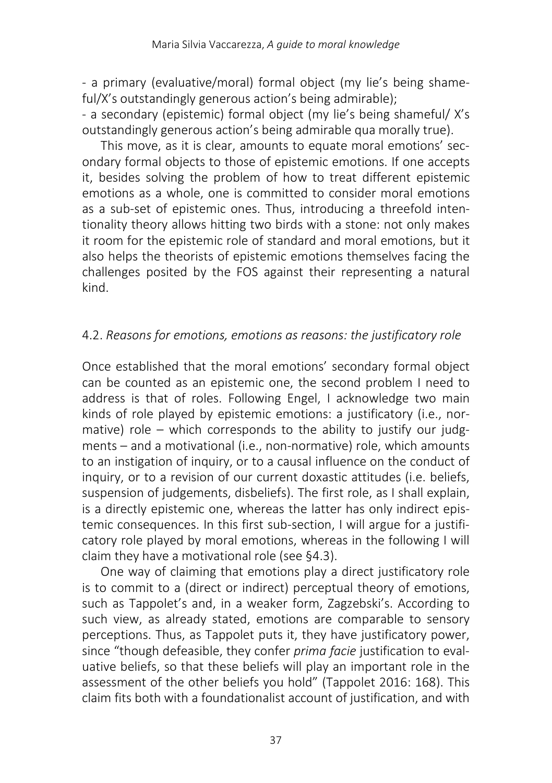- a primary (evaluative/moral) formal object (my lie's being shameful/X's outstandingly generous action's being admirable);

- a secondary (epistemic) formal object (my lie's being shameful/ X's outstandingly generous action's being admirable qua morally true).

This move, as it is clear, amounts to equate moral emotions' secondary formal objects to those of epistemic emotions. If one accepts it, besides solving the problem of how to treat different epistemic emotions as a whole, one is committed to consider moral emotions as a sub-set of epistemic ones. Thus, introducing a threefold intentionality theory allows hitting two birds with a stone: not only makes it room for the epistemic role of standard and moral emotions, but it also helps the theorists of epistemic emotions themselves facing the challenges posited by the FOS against their representing a natural kind.

#### 4.2. *Reasons for emotions, emotions as reasons: the justificatory role*

Once established that the moral emotions' secondary formal object can be counted as an epistemic one, the second problem I need to address is that of roles. Following Engel, I acknowledge two main kinds of role played by epistemic emotions: a justificatory (i.e., normative) role – which corresponds to the ability to justify our judgments – and a motivational (i.e., non-normative) role, which amounts to an instigation of inquiry, or to a causal influence on the conduct of inquiry, or to a revision of our current doxastic attitudes (i.e. beliefs, suspension of judgements, disbeliefs). The first role, as I shall explain, is a directly epistemic one, whereas the latter has only indirect epistemic consequences. In this first sub-section, I will argue for a justificatory role played by moral emotions, whereas in the following I will claim they have a motivational role (see §4.3).

One way of claiming that emotions play a direct justificatory role is to commit to a (direct or indirect) perceptual theory of emotions, such as Tappolet's and, in a weaker form, Zagzebski's. According to such view, as already stated, emotions are comparable to sensory perceptions. Thus, as Tappolet puts it, they have justificatory power, since "though defeasible, they confer *prima facie* justification to evaluative beliefs, so that these beliefs will play an important role in the assessment of the other beliefs you hold" (Tappolet 2016: 168). This claim fits both with a foundationalist account of justification, and with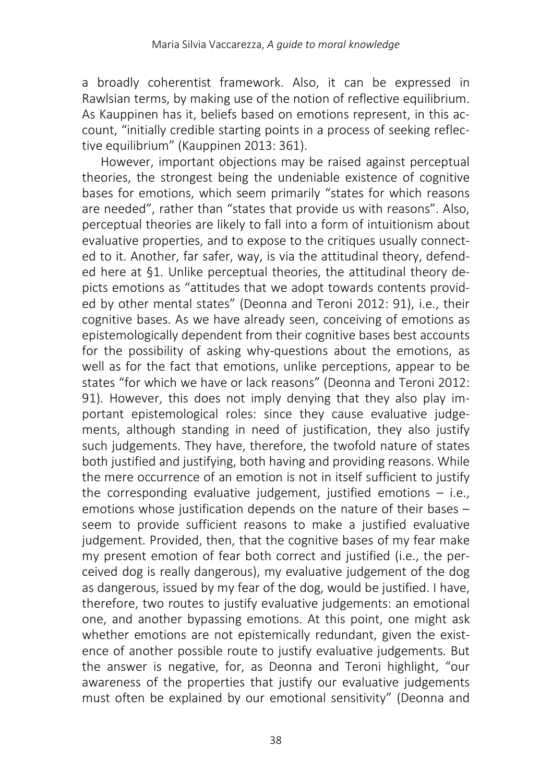a broadly coherentist framework. Also, it can be expressed in Rawlsian terms, by making use of the notion of reflective equilibrium. As Kauppinen has it, beliefs based on emotions represent, in this account, "initially credible starting points in a process of seeking reflective equilibrium" (Kauppinen 2013: 361).

However, important objections may be raised against perceptual theories, the strongest being the undeniable existence of cognitive bases for emotions, which seem primarily "states for which reasons are needed", rather than "states that provide us with reasons". Also, perceptual theories are likely to fall into a form of intuitionism about evaluative properties, and to expose to the critiques usually connected to it. Another, far safer, way, is via the attitudinal theory, defended here at §1. Unlike perceptual theories, the attitudinal theory depicts emotions as "attitudes that we adopt towards contents provided by other mental states" (Deonna and Teroni 2012: 91), i.e., their cognitive bases. As we have already seen, conceiving of emotions as epistemologically dependent from their cognitive bases best accounts for the possibility of asking why-questions about the emotions, as well as for the fact that emotions, unlike perceptions, appear to be states "for which we have or lack reasons" (Deonna and Teroni 2012: 91). However, this does not imply denying that they also play important epistemological roles: since they cause evaluative judgements, although standing in need of justification, they also justify such judgements. They have, therefore, the twofold nature of states both justified and justifying, both having and providing reasons. While the mere occurrence of an emotion is not in itself sufficient to justify the corresponding evaluative judgement, justified emotions  $-$  i.e., emotions whose justification depends on the nature of their bases – seem to provide sufficient reasons to make a justified evaluative judgement. Provided, then, that the cognitive bases of my fear make my present emotion of fear both correct and justified (i.e., the perceived dog is really dangerous), my evaluative judgement of the dog as dangerous, issued by my fear of the dog, would be justified. I have, therefore, two routes to justify evaluative judgements: an emotional one, and another bypassing emotions. At this point, one might ask whether emotions are not epistemically redundant, given the existence of another possible route to justify evaluative judgements. But the answer is negative, for, as Deonna and Teroni highlight, "our awareness of the properties that justify our evaluative judgements must often be explained by our emotional sensitivity" (Deonna and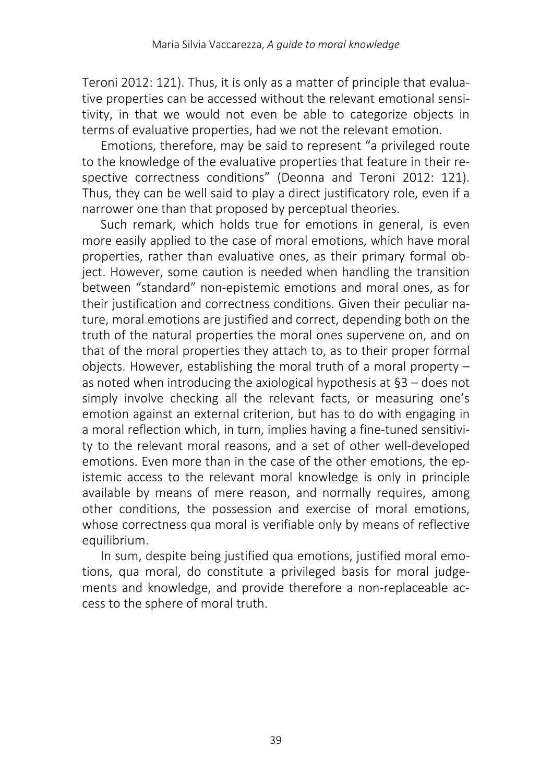Teroni 2012: 121). Thus, it is only as a matter of principle that evaluative properties can be accessed without the relevant emotional sensitivity, in that we would not even be able to categorize objects in terms of evaluative properties, had we not the relevant emotion.

Emotions, therefore, may be said to represent "a privileged route to the knowledge of the evaluative properties that feature in their respective correctness conditions" (Deonna and Teroni 2012: 121). Thus, they can be well said to play a direct justificatory role, even if a narrower one than that proposed by perceptual theories.

Such remark, which holds true for emotions in general, is even more easily applied to the case of moral emotions, which have moral properties, rather than evaluative ones, as their primary formal object. However, some caution is needed when handling the transition between "standard" non-epistemic emotions and moral ones, as for their justification and correctness conditions. Given their peculiar nature, moral emotions are justified and correct, depending both on the truth of the natural properties the moral ones supervene on, and on that of the moral properties they attach to, as to their proper formal objects. However, establishing the moral truth of a moral property – as noted when introducing the axiological hypothesis at §3 – does not simply involve checking all the relevant facts, or measuring one's emotion against an external criterion, but has to do with engaging in a moral reflection which, in turn, implies having a fine-tuned sensitivity to the relevant moral reasons, and a set of other well-developed emotions. Even more than in the case of the other emotions, the epistemic access to the relevant moral knowledge is only in principle available by means of mere reason, and normally requires, among other conditions, the possession and exercise of moral emotions, whose correctness qua moral is verifiable only by means of reflective equilibrium.

In sum, despite being justified qua emotions, justified moral emotions, qua moral, do constitute a privileged basis for moral judgements and knowledge, and provide therefore a non-replaceable access to the sphere of moral truth.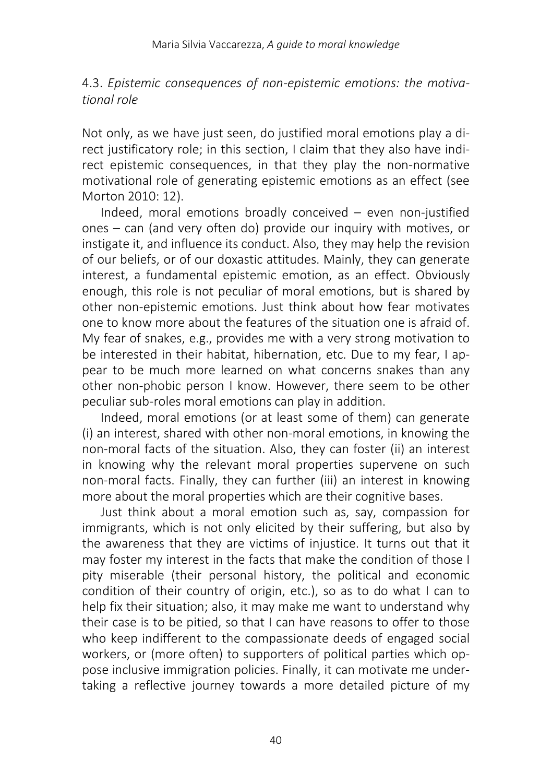# 4.3. *Epistemic consequences of non-epistemic emotions: the motivational role*

Not only, as we have just seen, do justified moral emotions play a direct justificatory role; in this section, I claim that they also have indirect epistemic consequences, in that they play the non-normative motivational role of generating epistemic emotions as an effect (see Morton 2010: 12).

Indeed, moral emotions broadly conceived – even non-justified ones – can (and very often do) provide our inquiry with motives, or instigate it, and influence its conduct. Also, they may help the revision of our beliefs, or of our doxastic attitudes. Mainly, they can generate interest, a fundamental epistemic emotion, as an effect. Obviously enough, this role is not peculiar of moral emotions, but is shared by other non-epistemic emotions. Just think about how fear motivates one to know more about the features of the situation one is afraid of. My fear of snakes, e.g., provides me with a very strong motivation to be interested in their habitat, hibernation, etc. Due to my fear, I appear to be much more learned on what concerns snakes than any other non-phobic person I know. However, there seem to be other peculiar sub-roles moral emotions can play in addition.

Indeed, moral emotions (or at least some of them) can generate (i) an interest, shared with other non-moral emotions, in knowing the non-moral facts of the situation. Also, they can foster (ii) an interest in knowing why the relevant moral properties supervene on such non-moral facts. Finally, they can further (iii) an interest in knowing more about the moral properties which are their cognitive bases.

Just think about a moral emotion such as, say, compassion for immigrants, which is not only elicited by their suffering, but also by the awareness that they are victims of injustice. It turns out that it may foster my interest in the facts that make the condition of those I pity miserable (their personal history, the political and economic condition of their country of origin, etc.), so as to do what I can to help fix their situation; also, it may make me want to understand why their case is to be pitied, so that I can have reasons to offer to those who keep indifferent to the compassionate deeds of engaged social workers, or (more often) to supporters of political parties which oppose inclusive immigration policies. Finally, it can motivate me undertaking a reflective journey towards a more detailed picture of my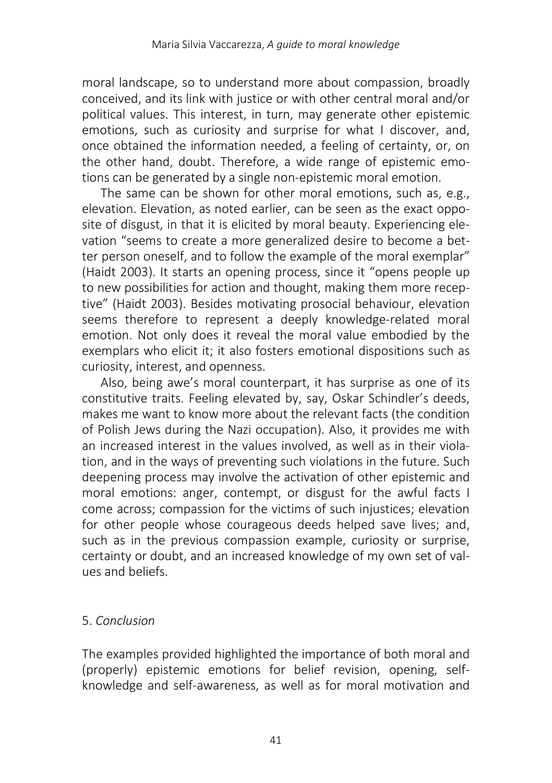moral landscape, so to understand more about compassion, broadly conceived, and its link with justice or with other central moral and/or political values. This interest, in turn, may generate other epistemic emotions, such as curiosity and surprise for what I discover, and, once obtained the information needed, a feeling of certainty, or, on the other hand, doubt. Therefore, a wide range of epistemic emotions can be generated by a single non-epistemic moral emotion.

The same can be shown for other moral emotions, such as, e.g., elevation. Elevation, as noted earlier, can be seen as the exact opposite of disgust, in that it is elicited by moral beauty. Experiencing elevation "seems to create a more generalized desire to become a better person oneself, and to follow the example of the moral exemplar" (Haidt 2003). It starts an opening process, since it "opens people up to new possibilities for action and thought, making them more receptive" (Haidt 2003). Besides motivating prosocial behaviour, elevation seems therefore to represent a deeply knowledge-related moral emotion. Not only does it reveal the moral value embodied by the exemplars who elicit it; it also fosters emotional dispositions such as curiosity, interest, and openness.

Also, being awe's moral counterpart, it has surprise as one of its constitutive traits. Feeling elevated by, say, Oskar Schindler's deeds, makes me want to know more about the relevant facts (the condition of Polish Jews during the Nazi occupation). Also, it provides me with an increased interest in the values involved, as well as in their violation, and in the ways of preventing such violations in the future. Such deepening process may involve the activation of other epistemic and moral emotions: anger, contempt, or disgust for the awful facts I come across; compassion for the victims of such injustices; elevation for other people whose courageous deeds helped save lives; and, such as in the previous compassion example, curiosity or surprise, certainty or doubt, and an increased knowledge of my own set of values and beliefs.

# 5. *Conclusion*

The examples provided highlighted the importance of both moral and (properly) epistemic emotions for belief revision, opening, selfknowledge and self-awareness, as well as for moral motivation and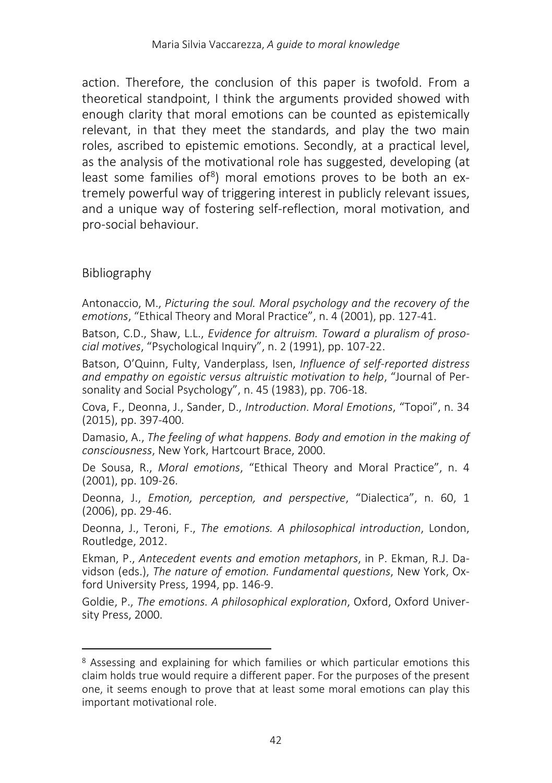action. Therefore, the conclusion of this paper is twofold. From a theoretical standpoint, I think the arguments provided showed with enough clarity that moral emotions can be counted as epistemically relevant, in that they meet the standards, and play the two main roles, ascribed to epistemic emotions. Secondly, at a practical level, as the analysis of the motivational role has suggested, developing (at least some families of<sup>8</sup>) moral emotions proves to be both an extremely powerful way of triggering interest in publicly relevant issues, and a unique way of fostering self-reflection, moral motivation, and pro-social behaviour.

# Bibliography

l

Antonaccio, M., *Picturing the soul. Moral psychology and the recovery of the emotions*, "Ethical Theory and Moral Practice", n. 4 (2001), pp. 127-41.

Batson, C.D., Shaw, L.L., *Evidence for altruism. Toward a pluralism of prosocial motives*, "Psychological Inquiry", n. 2 (1991), pp. 107-22.

Batson, O'Quinn, Fulty, Vanderplass, Isen, *Influence of self-reported distress and empathy on egoistic versus altruistic motivation to help*, "Journal of Personality and Social Psychology", n. 45 (1983), pp. 706-18.

Cova, F., Deonna, J., Sander, D., *Introduction. Moral Emotions*, "Topoi", n. 34 (2015), pp. 397-400.

Damasio, A., *The feeling of what happens. Body and emotion in the making of consciousness*, New York, Hartcourt Brace, 2000.

De Sousa, R., *Moral emotions*, "Ethical Theory and Moral Practice", n. 4 (2001), pp. 109-26.

Deonna, J., *Emotion, perception, and perspective*, "Dialectica", n. 60, 1 (2006), pp. 29-46.

Deonna, J., Teroni, F., *The emotions. A philosophical introduction*, London, Routledge, 2012.

Ekman, P., *Antecedent events and emotion metaphors*, in P. Ekman, R.J. Davidson (eds.), *The nature of emotion. Fundamental questions*, New York, Oxford University Press, 1994, pp. 146-9.

Goldie, P., *The emotions. A philosophical exploration*, Oxford, Oxford University Press, 2000.

<span id="page-15-0"></span><sup>8</sup> Assessing and explaining for which families or which particular emotions this claim holds true would require a different paper. For the purposes of the present one, it seems enough to prove that at least some moral emotions can play this important motivational role.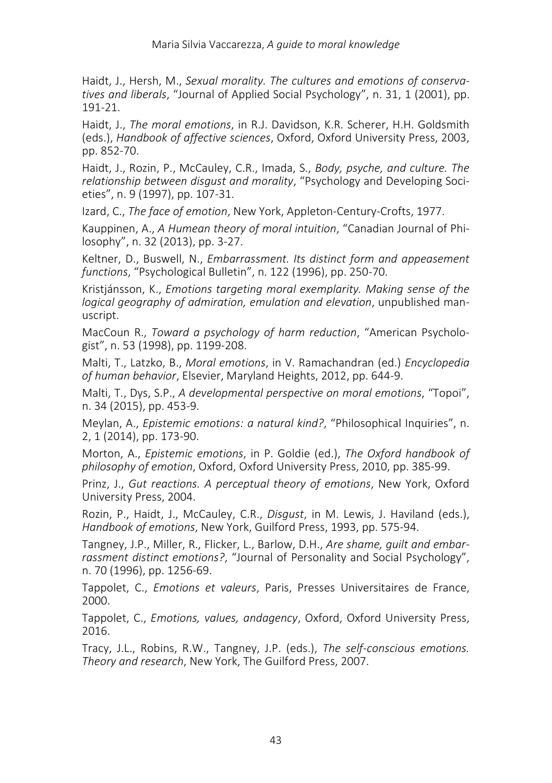Haidt, J., Hersh, M., *Sexual morality. The cultures and emotions of conservatives and liberals*, "Journal of Applied Social Psychology", n. 31, 1 (2001), pp. 191-21.

Haidt, J., *The moral emotions*, in R.J. Davidson, K.R. Scherer, H.H. Goldsmith (eds.), *Handbook of affective sciences*, Oxford, Oxford University Press, 2003, pp. 852-70.

Haidt, J., Rozin, P., McCauley, C.R., Imada, S., *Body, psyche, and culture. The relationship between disgust and morality*, "Psychology and Developing Societies", n. 9 (1997), pp. 107-31.

Izard, C., *The face of emotion*, New York, Appleton-Century-Crofts, 1977.

Kauppinen, A., *A Humean theory of moral intuition*, "Canadian Journal of Philosophy", n. 32 (2013), pp. 3-27.

Keltner, D., Buswell, N., *Embarrassment. Its distinct form and appeasement functions*, "Psychological Bulletin", n. 122 (1996), pp. 250-70.

Kristjánsson, K., *Emotions targeting moral exemplarity. Making sense of the logical geography of admiration, emulation and elevation*, unpublished manuscript.

MacCoun R., *Toward a psychology of harm reduction*, "American Psychologist", n. 53 (1998), pp. 1199-208.

Malti, T., Latzko, B., *Moral emotions*, in V. Ramachandran (ed.) *Encyclopedia of human behavior*, Elsevier, Maryland Heights, 2012, pp. 644-9.

Malti, T., Dys, S.P., *A developmental perspective on moral emotions*, "Topoi", n. 34 (2015), pp. 453-9.

Meylan, A., *Epistemic emotions: a natural kind?*, "Philosophical Inquiries", n. 2, 1 (2014), pp. 173-90.

Morton, A., *Epistemic emotions*, in P. Goldie (ed.), *The Oxford handbook of philosophy of emotion*, Oxford, Oxford University Press, 2010, pp. 385-99.

Prinz, J., *Gut reactions. A perceptual theory of emotions*, New York, Oxford University Press, 2004.

Rozin, P., Haidt, J., McCauley, C.R., *Disgust*, in M. Lewis, J. Haviland (eds.), *Handbook of emotions*, New York, Guilford Press, 1993, pp. 575-94.

Tangney, J.P., Miller, R., Flicker, L., Barlow, D.H., *Are shame, guilt and embarrassment distinct emotions?*, "Journal of Personality and Social Psychology", n. 70 (1996), pp. 1256-69.

Tappolet, C., *Emotions et valeurs*, Paris, Presses Universitaires de France, 2000.

Tappolet, C., *Emotions, values, andagency*, Oxford, Oxford University Press, 2016.

Tracy, J.L., Robins, R.W., Tangney, J.P. (eds.), *The self-conscious emotions. Theory and research*, New York, The Guilford Press, 2007.